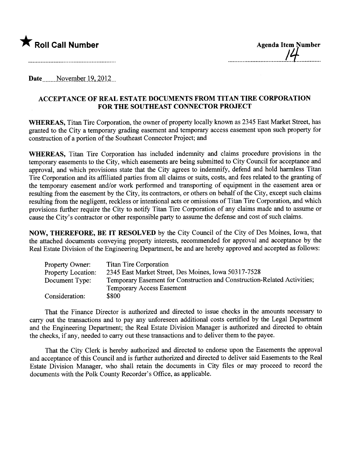

Date  $\frac{\text{November 19, 2012}}{\text{November 19}}$ 

## ACCEPTANCE OF REAL ESTATE DOCUMENTS FROM TITAN TIRE CORPORATION FOR THE SOUTHEAST CONNECTOR PROJECT

WHEREAS, Titan Tire Corporation, the owner of property locally known as 2345 East Market Street, has granted to the City a temporary grading easement and temporary access easement upon such property for construction of a portion of the Southeast Connector Project; and

WHEREAS, Titan Tire Corporation has included indemnity and claims procedure provisions in the temporary easements to the City, which easements are being submitted to City Council for acceptance and approval, and which provisions state that the City agrees to indemnify, defend and hold harmless Titan Tire Corporation and its affiiated paries from all claims or suits, costs, and fees related to the granting of the temporary easement and/or work performed and transporting of equipment in the easement area or resulting from the easement by the City, its contractors, or others on behalf of the City, except such claims resulting from the negligent, reckless or intentional acts or omissions of Titan Tire Corporation, and which provisions further require the City to notify Titan Tire Corporation of any claims made and to assume or cause the City's contractor or other responsible party to assume the defense and cost of such claims.

NOW, THEREFORE, BE IT RESOLVED by the City Council of the City of Des Moines, Iowa, that the attached documents conveying property interests, recommended for approval and acceptance by the Real Estate Division of the Engineering Deparment, be and are hereby approved and accepted as follows:

| Property Owner:           | <b>Titan Tire Corporation</b>                                            |
|---------------------------|--------------------------------------------------------------------------|
| <b>Property Location:</b> | 2345 East Market Street, Des Moines, Iowa 50317-7528                     |
| Document Type:            | Temporary Easement for Construction and Construction-Related Activities; |
|                           | <b>Temporary Access Easement</b>                                         |
| Consideration:            | \$800                                                                    |

That the Finance Director is authorized and directed to issue checks in the amounts necessary to carry out the transactions and to pay any unforeseen additional costs certified by the Legal Department and the Engineering Deparment; the Real Estate Division Manager is authorized and directed to obtain the checks, if any, needed to cary out these transactions and to deliver them to the payee.

That the City Clerk is hereby authorized and directed to endorse upon the Easements the approval and acceptance of this Council and is further authorized and directed to deliver said Easements to the Real Estate Division Manager, who shall retain the documents in City files or may proceed to record the documents with the Polk County Recorder's Office, as applicable.